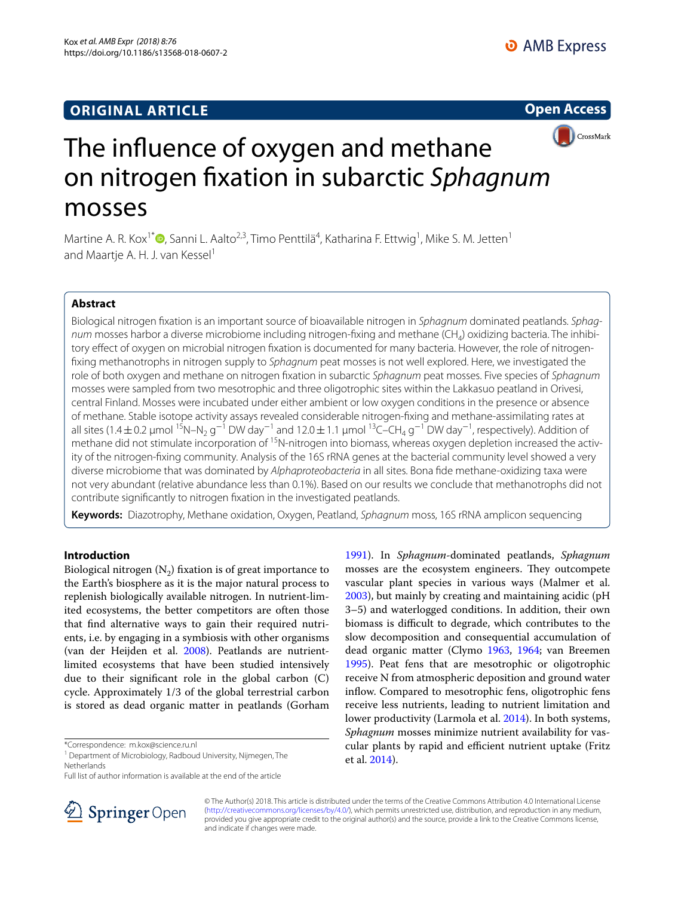# **ORIGINAL ARTICLE**





# The infuence of oxygen and methane on nitrogen fxation in subarctic *Sphagnum* mosses

Martine A. R. Kox<sup>1[\\*](http://orcid.org/0000-0001-5795-1411)</sup>®, Sanni L. Aalto<sup>2,3</sup>, Timo Penttilä<sup>4</sup>, Katharina F. Ettwig<sup>1</sup>, Mike S. M. Jetten<sup>1</sup> and Maartje A. H. J. van Kessel<sup>1</sup>

# **Abstract**

Biological nitrogen fxation is an important source of bioavailable nitrogen in *Sphagnum* dominated peatlands. *Sphagnum* mosses harbor a diverse microbiome including nitrogen-fixing and methane (CH<sub>4</sub>) oxidizing bacteria. The inhibitory efect of oxygen on microbial nitrogen fxation is documented for many bacteria. However, the role of nitrogenfxing methanotrophs in nitrogen supply to *Sphagnum* peat mosses is not well explored. Here, we investigated the role of both oxygen and methane on nitrogen fxation in subarctic *Sphagnum* peat mosses. Five species of *Sphagnum* mosses were sampled from two mesotrophic and three oligotrophic sites within the Lakkasuo peatland in Orivesi, central Finland. Mosses were incubated under either ambient or low oxygen conditions in the presence or absence of methane. Stable isotope activity assays revealed considerable nitrogen-fxing and methane-assimilating rates at all sites (1.4±0.2 µmol <sup>15</sup>N–N<sub>2</sub> g<sup>-1</sup> DW day<sup>-1</sup> and 12.0±1.1 µmol <sup>13</sup>C–CH<sub>4</sub> g<sup>-1</sup> DW day<sup>-1</sup>, respectively). Addition of methane did not stimulate incorporation of <sup>15</sup>N-nitrogen into biomass, whereas oxygen depletion increased the activity of the nitrogen-fxing community. Analysis of the 16S rRNA genes at the bacterial community level showed a very diverse microbiome that was dominated by *Alphaproteobacteria* in all sites. Bona fde methane-oxidizing taxa were not very abundant (relative abundance less than 0.1%). Based on our results we conclude that methanotrophs did not contribute signifcantly to nitrogen fxation in the investigated peatlands.

**Keywords:** Diazotrophy, Methane oxidation, Oxygen, Peatland, *Sphagnum* moss, 16S rRNA amplicon sequencing

# **Introduction**

Biological nitrogen  $(N_2)$  fixation is of great importance to the Earth's biosphere as it is the major natural process to replenish biologically available nitrogen. In nutrient-limited ecosystems, the better competitors are often those that fnd alternative ways to gain their required nutrients, i.e. by engaging in a symbiosis with other organisms (van der Heijden et al. [2008\)](#page-8-0). Peatlands are nutrientlimited ecosystems that have been studied intensively due to their signifcant role in the global carbon (C) cycle. Approximately 1/3 of the global terrestrial carbon is stored as dead organic matter in peatlands (Gorham

\*Correspondence: m.kox@science.ru.nl

<sup>1</sup> Department of Microbiology, Radboud University, Nijmegen, The Netherlands

Full list of author information is available at the end of the article



[1991](#page-7-0)). In *Sphagnum*-dominated peatlands, *Sphagnum* mosses are the ecosystem engineers. They outcompete vascular plant species in various ways (Malmer et al. [2003](#page-7-1)), but mainly by creating and maintaining acidic (pH 3–5) and waterlogged conditions. In addition, their own biomass is difficult to degrade, which contributes to the slow decomposition and consequential accumulation of dead organic matter (Clymo [1963,](#page-7-2) [1964](#page-7-3); van Breemen [1995](#page-8-1)). Peat fens that are mesotrophic or oligotrophic receive N from atmospheric deposition and ground water inflow. Compared to mesotrophic fens, oligotrophic fens receive less nutrients, leading to nutrient limitation and lower productivity (Larmola et al. [2014\)](#page-7-4). In both systems, *Sphagnum* mosses minimize nutrient availability for vascular plants by rapid and efficient nutrient uptake (Fritz et al. [2014](#page-7-5)).

© The Author(s) 2018. This article is distributed under the terms of the Creative Commons Attribution 4.0 International License [\(http://creativecommons.org/licenses/by/4.0/\)](http://creativecommons.org/licenses/by/4.0/), which permits unrestricted use, distribution, and reproduction in any medium, provided you give appropriate credit to the original author(s) and the source, provide a link to the Creative Commons license, and indicate if changes were made.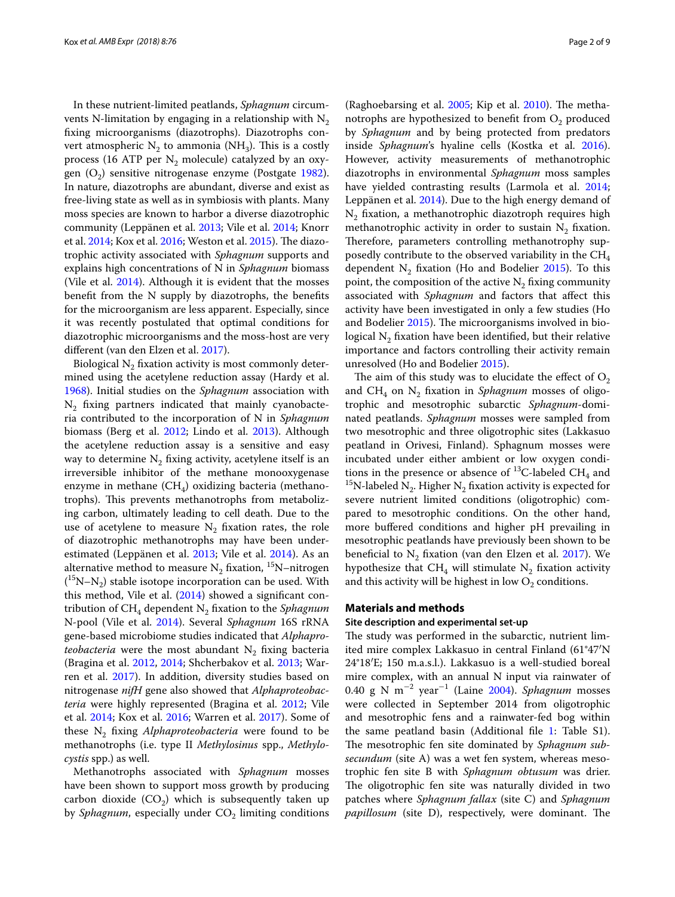In these nutrient-limited peatlands, *Sphagnum* circumvents N-limitation by engaging in a relationship with  $N_2$ fxing microorganisms (diazotrophs). Diazotrophs convert atmospheric  $N_2$  to ammonia (NH<sub>3</sub>). This is a costly process (16 ATP per  $N_2$  molecule) catalyzed by an oxygen  $(O_2)$  sensitive nitrogenase enzyme (Postgate [1982](#page-7-6)). In nature, diazotrophs are abundant, diverse and exist as free-living state as well as in symbiosis with plants. Many moss species are known to harbor a diverse diazotrophic community (Leppänen et al. [2013](#page-7-7); Vile et al. [2014;](#page-8-2) Knorr et al. [2014;](#page-7-8) Kox et al. [2016](#page-7-9); Weston et al. [2015\)](#page-8-3). The diazotrophic activity associated with *Sphagnum* supports and explains high concentrations of N in *Sphagnum* biomass (Vile et al. [2014\)](#page-8-2). Although it is evident that the mosses beneft from the N supply by diazotrophs, the benefts for the microorganism are less apparent. Especially, since it was recently postulated that optimal conditions for diazotrophic microorganisms and the moss-host are very diferent (van den Elzen et al. [2017](#page-8-4)).

Biological  $N<sub>2</sub>$  fixation activity is most commonly determined using the acetylene reduction assay (Hardy et al. [1968](#page-7-10)). Initial studies on the *Sphagnum* association with  $N_2$  fixing partners indicated that mainly cyanobacteria contributed to the incorporation of N in *Sphagnum* biomass (Berg et al. [2012](#page-7-11); Lindo et al. [2013\)](#page-7-12). Although the acetylene reduction assay is a sensitive and easy way to determine  $N_2$  fixing activity, acetylene itself is an irreversible inhibitor of the methane monooxygenase enzyme in methane  $(CH_4)$  oxidizing bacteria (methanotrophs). This prevents methanotrophs from metabolizing carbon, ultimately leading to cell death. Due to the use of acetylene to measure  $N_2$  fixation rates, the role of diazotrophic methanotrophs may have been underestimated (Leppänen et al. [2013;](#page-7-7) Vile et al. [2014\)](#page-8-2). As an alternative method to measure  $N_2$  fixation, <sup>15</sup>N–nitrogen  $($ <sup>15</sup>N–N<sub>2</sub>) stable isotope incorporation can be used. With this method, Vile et al. [\(2014\)](#page-8-2) showed a signifcant contribution of CH<sub>4</sub> dependent N<sub>2</sub> fixation to the *Sphagnum* N-pool (Vile et al. [2014\)](#page-8-2). Several *Sphagnum* 16S rRNA gene-based microbiome studies indicated that *Alphaproteobacteria* were the most abundant  $N_2$  fixing bacteria (Bragina et al. [2012,](#page-7-13) [2014](#page-7-14); Shcherbakov et al. [2013;](#page-8-5) Warren et al. [2017\)](#page-8-6). In addition, diversity studies based on nitrogenase *nifH* gene also showed that *Alphaproteobacteria* were highly represented (Bragina et al. [2012](#page-7-13); Vile et al. [2014](#page-8-2); Kox et al. [2016](#page-7-9); Warren et al. [2017](#page-8-6)). Some of these N2 fxing *Alphaproteobacteria* were found to be methanotrophs (i.e. type II *Methylosinus* spp., *Methylocystis* spp.) as well.

Methanotrophs associated with *Sphagnum* mosses have been shown to support moss growth by producing carbon dioxide  $(CO<sub>2</sub>)$  which is subsequently taken up by *Sphagnum*, especially under CO<sub>2</sub> limiting conditions

(Raghoebarsing et al.  $2005$ ; Kip et al.  $2010$ ). The methanotrophs are hypothesized to benefit from  $O<sub>2</sub>$  produced by *Sphagnum* and by being protected from predators inside *Sphagnum*'s hyaline cells (Kostka et al. [2016](#page-7-16)). However, activity measurements of methanotrophic diazotrophs in environmental *Sphagnum* moss samples have yielded contrasting results (Larmola et al. [2014](#page-7-4); Leppänen et al. [2014\)](#page-7-17). Due to the high energy demand of  $N<sub>2</sub>$  fixation, a methanotrophic diazotroph requires high methanotrophic activity in order to sustain  $N_2$  fixation. Therefore, parameters controlling methanotrophy supposedly contribute to the observed variability in the  $CH<sub>4</sub>$ dependent  $N_2$  fixation (Ho and Bodelier [2015](#page-7-18)). To this point, the composition of the active  $N_2$  fixing community associated with *Sphagnum* and factors that afect this activity have been investigated in only a few studies (Ho and Bodelier [2015](#page-7-18)). The microorganisms involved in biological  $N<sub>2</sub>$  fixation have been identified, but their relative importance and factors controlling their activity remain unresolved (Ho and Bodelier [2015](#page-7-18)).

The aim of this study was to elucidate the effect of  $O_2$ and  $CH_4$  on N<sub>2</sub> fixation in *Sphagnum* mosses of oligotrophic and mesotrophic subarctic *Sphagnum*-dominated peatlands. *Sphagnum* mosses were sampled from two mesotrophic and three oligotrophic sites (Lakkasuo peatland in Orivesi, Finland). Sphagnum mosses were incubated under either ambient or low oxygen conditions in the presence or absence of <sup>13</sup>C-labeled CH<sub>4</sub> and <sup>15</sup>N-labeled N<sub>2</sub>. Higher N<sub>2</sub> fixation activity is expected for severe nutrient limited conditions (oligotrophic) compared to mesotrophic conditions. On the other hand, more bufered conditions and higher pH prevailing in mesotrophic peatlands have previously been shown to be beneficial to  $N_2$  fixation (van den Elzen et al. [2017](#page-8-4)). We hypothesize that CH<sub>4</sub> will stimulate  $N_2$  fixation activity and this activity will be highest in low  $O_2$  conditions.

# **Materials and methods**

## **Site description and experimental set‑up**

The study was performed in the subarctic, nutrient limited mire complex Lakkasuo in central Finland (61°47′N 24°18′E; 150 m.a.s.l.). Lakkasuo is a well-studied boreal mire complex, with an annual N input via rainwater of 0.40 g N m<sup>−</sup><sup>2</sup> year<sup>−</sup><sup>1</sup> (Laine [2004\)](#page-7-19). *Sphagnum* mosses were collected in September 2014 from oligotrophic and mesotrophic fens and a rainwater-fed bog within the same peatland basin (Additional fle [1](#page-6-0): Table S1). The mesotrophic fen site dominated by *Sphagnum subsecundum* (site A) was a wet fen system, whereas mesotrophic fen site B with *Sphagnum obtusum* was drier. The oligotrophic fen site was naturally divided in two patches where *Sphagnum fallax* (site C) and *Sphagnum papillosum* (site D), respectively, were dominant. The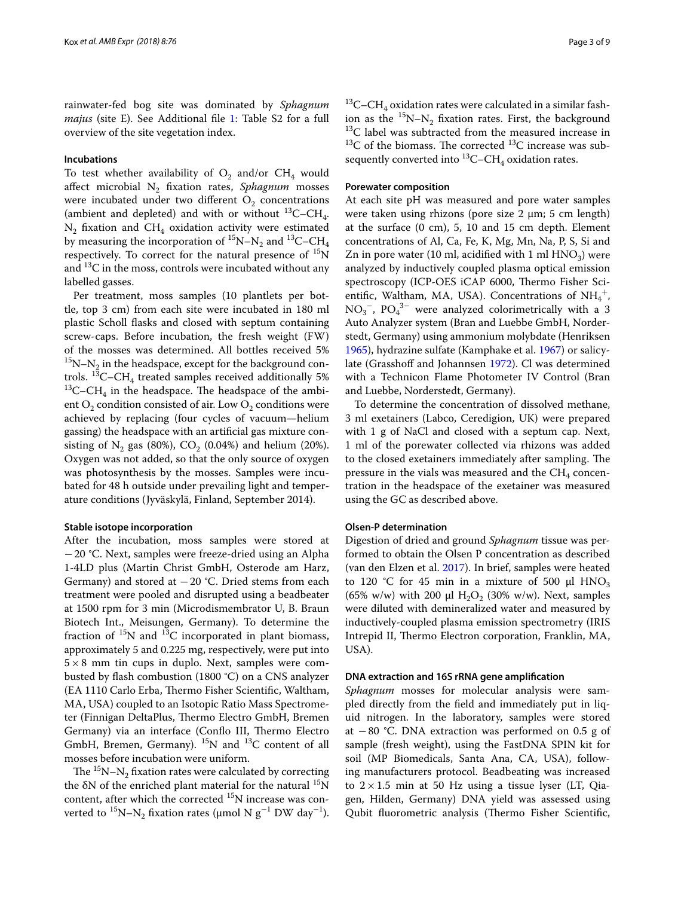rainwater-fed bog site was dominated by *Sphagnum majus* (site E). See Additional file [1:](#page-6-0) Table S2 for a full overview of the site vegetation index.

# **Incubations**

To test whether availability of  $O_2$  and/or CH<sub>4</sub> would afect microbial N2 fxation rates, *Sphagnum* mosses were incubated under two different  $O_2$  concentrations (ambient and depleted) and with or without  $^{13}$ C–CH<sub>4</sub>.  $N_2$  fixation and CH<sub>4</sub> oxidation activity were estimated by measuring the incorporation of  ${}^{15}N-N_2$  and  ${}^{13}C$ –CH<sub>4</sub> respectively. To correct for the natural presence of  $^{15}N$ and  ${}^{13}C$  in the moss, controls were incubated without any labelled gasses.

Per treatment, moss samples (10 plantlets per bottle, top 3 cm) from each site were incubated in 180 ml plastic Scholl fasks and closed with septum containing screw-caps. Before incubation, the fresh weight (FW) of the mosses was determined. All bottles received 5%  $15N-N<sub>2</sub>$  in the headspace, except for the background controls.  $^{13}$ C–CH<sub>4</sub> treated samples received additionally 5%  $^{13}$ C–CH<sub>4</sub> in the headspace. The headspace of the ambient  $O_2$  condition consisted of air. Low  $O_2$  conditions were achieved by replacing (four cycles of vacuum—helium gassing) the headspace with an artifcial gas mixture consisting of  $N_2$  gas (80%),  $CO_2$  (0.04%) and helium (20%). Oxygen was not added, so that the only source of oxygen was photosynthesis by the mosses. Samples were incubated for 48 h outside under prevailing light and temperature conditions (Jyväskylä, Finland, September 2014).

# **Stable isotope incorporation**

After the incubation, moss samples were stored at −20 °C. Next, samples were freeze-dried using an Alpha 1-4LD plus (Martin Christ GmbH, Osterode am Harz, Germany) and stored at  $-20$  °C. Dried stems from each treatment were pooled and disrupted using a beadbeater at 1500 rpm for 3 min (Microdismembrator U, B. Braun Biotech Int., Meisungen, Germany). To determine the fraction of  $^{15}N$  and  $^{13}C$  incorporated in plant biomass, approximately 5 and 0.225 mg, respectively, were put into  $5\times8$  mm tin cups in duplo. Next, samples were combusted by fash combustion (1800 °C) on a CNS analyzer (EA 1110 Carlo Erba, Thermo Fisher Scientific, Waltham, MA, USA) coupled to an Isotopic Ratio Mass Spectrometer (Finnigan DeltaPlus, Thermo Electro GmbH, Bremen Germany) via an interface (Conflo III, Thermo Electro GmbH, Bremen, Germany). 15N and 13C content of all mosses before incubation were uniform.

The  ${}^{15}N-N_2$  fixation rates were calculated by correcting the  $\delta N$  of the enriched plant material for the natural  $^{15}N$ content, after which the corrected  $^{15}N$  increase was converted to <sup>15</sup>N–N<sub>2</sub> fixation rates (μmol N  $g^{-1}$  DW day<sup>-1</sup>).

 $^{13}$ C–CH<sub>4</sub> oxidation rates were calculated in a similar fashion as the  ${}^{15}N-N_2$  fixation rates. First, the background  $13C$  label was subtracted from the measured increase in  $13C$  of the biomass. The corrected  $13C$  increase was subsequently converted into  ${}^{13}$ C–CH<sub>4</sub> oxidation rates.

#### **Porewater composition**

At each site pH was measured and pore water samples were taken using rhizons (pore size  $2 \mu m$ ; 5 cm length) at the surface (0 cm), 5, 10 and 15 cm depth. Element concentrations of Al, Ca, Fe, K, Mg, Mn, Na, P, S, Si and Zn in pore water (10 ml, acidified with 1 ml  $HNO<sub>3</sub>$ ) were analyzed by inductively coupled plasma optical emission spectroscopy (ICP-OES iCAP 6000, Thermo Fisher Scientific, Waltham, MA, USA). Concentrations of  $NH_4^+$ ,  $NO<sub>3</sub><sup>-</sup>$ ,  $PO<sub>4</sub><sup>3-</sup>$  were analyzed colorimetrically with a 3 Auto Analyzer system (Bran and Luebbe GmbH, Norderstedt, Germany) using ammonium molybdate (Henriksen [1965](#page-7-20)), hydrazine sulfate (Kamphake et al. [1967](#page-7-21)) or salicy-late (Grasshoff and Johannsen [1972\)](#page-7-22). Cl was determined with a Technicon Flame Photometer IV Control (Bran and Luebbe, Norderstedt, Germany).

To determine the concentration of dissolved methane, 3 ml exetainers (Labco, Ceredigion, UK) were prepared with 1 g of NaCl and closed with a septum cap. Next, 1 ml of the porewater collected via rhizons was added to the closed exetainers immediately after sampling. The pressure in the vials was measured and the  $CH<sub>4</sub>$  concentration in the headspace of the exetainer was measured using the GC as described above.

#### **Olsen‑P determination**

Digestion of dried and ground *Sphagnum* tissue was performed to obtain the Olsen P concentration as described (van den Elzen et al. [2017](#page-8-4)). In brief, samples were heated to 120 °C for 45 min in a mixture of 500  $\mu$ l HNO<sub>3</sub> (65% w/w) with 200  $\mu$ l H<sub>2</sub>O<sub>2</sub> (30% w/w). Next, samples were diluted with demineralized water and measured by inductively-coupled plasma emission spectrometry (IRIS Intrepid II, Thermo Electron corporation, Franklin, MA, USA).

#### **DNA extraction and 16S rRNA gene amplifcation**

*Sphagnum* mosses for molecular analysis were sampled directly from the feld and immediately put in liquid nitrogen. In the laboratory, samples were stored at  $-80$  °C. DNA extraction was performed on 0.5 g of sample (fresh weight), using the FastDNA SPIN kit for soil (MP Biomedicals, Santa Ana, CA, USA), following manufacturers protocol. Beadbeating was increased to  $2 \times 1.5$  min at 50 Hz using a tissue lyser (LT, Qiagen, Hilden, Germany) DNA yield was assessed using Qubit fluorometric analysis (Thermo Fisher Scientific,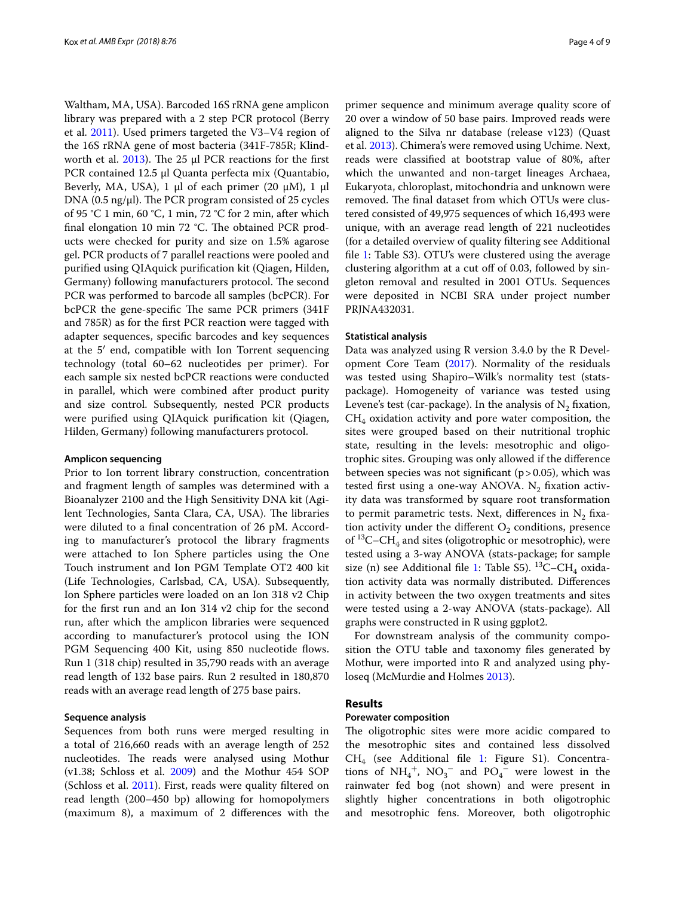Waltham, MA, USA). Barcoded 16S rRNA gene amplicon library was prepared with a 2 step PCR protocol (Berry et al. [2011\)](#page-7-23). Used primers targeted the V3–V4 region of the 16S rRNA gene of most bacteria (341F-785R; Klindworth et al.  $2013$ ). The 25 μl PCR reactions for the first PCR contained 12.5 μl Quanta perfecta mix (Quantabio, Beverly, MA, USA), 1 μl of each primer (20 μM), 1 μl DNA (0.5 ng/ $\mu$ l). The PCR program consisted of 25 cycles of 95 °C 1 min, 60 °C, 1 min, 72 °C for 2 min, after which final elongation 10 min 72 °C. The obtained PCR products were checked for purity and size on 1.5% agarose gel. PCR products of 7 parallel reactions were pooled and purifed using QIAquick purifcation kit (Qiagen, Hilden, Germany) following manufacturers protocol. The second PCR was performed to barcode all samples (bcPCR). For bcPCR the gene-specific The same PCR primers (341F and 785R) as for the frst PCR reaction were tagged with adapter sequences, specifc barcodes and key sequences at the 5′ end, compatible with Ion Torrent sequencing technology (total 60–62 nucleotides per primer). For each sample six nested bcPCR reactions were conducted in parallel, which were combined after product purity and size control. Subsequently, nested PCR products were purifed using QIAquick purifcation kit (Qiagen, Hilden, Germany) following manufacturers protocol.

# **Amplicon sequencing**

Prior to Ion torrent library construction, concentration and fragment length of samples was determined with a Bioanalyzer 2100 and the High Sensitivity DNA kit (Agilent Technologies, Santa Clara, CA, USA). The libraries were diluted to a fnal concentration of 26 pM. According to manufacturer's protocol the library fragments were attached to Ion Sphere particles using the One Touch instrument and Ion PGM Template OT2 400 kit (Life Technologies, Carlsbad, CA, USA). Subsequently, Ion Sphere particles were loaded on an Ion 318 v2 Chip for the frst run and an Ion 314 v2 chip for the second run, after which the amplicon libraries were sequenced according to manufacturer's protocol using the ION PGM Sequencing 400 Kit, using 850 nucleotide flows. Run 1 (318 chip) resulted in 35,790 reads with an average read length of 132 base pairs. Run 2 resulted in 180,870 reads with an average read length of 275 base pairs.

# **Sequence analysis**

Sequences from both runs were merged resulting in a total of 216,660 reads with an average length of 252 nucleotides. The reads were analysed using Mothur (v1.38; Schloss et al. [2009\)](#page-8-8) and the Mothur 454 SOP (Schloss et al. [2011](#page-8-9)). First, reads were quality fltered on read length (200–450 bp) allowing for homopolymers (maximum 8), a maximum of 2 diferences with the

primer sequence and minimum average quality score of 20 over a window of 50 base pairs. Improved reads were aligned to the Silva nr database (release v123) (Quast et al. [2013\)](#page-8-10). Chimera's were removed using Uchime. Next, reads were classifed at bootstrap value of 80%, after which the unwanted and non-target lineages Archaea, Eukaryota, chloroplast, mitochondria and unknown were removed. The final dataset from which OTUs were clustered consisted of 49,975 sequences of which 16,493 were unique, with an average read length of 221 nucleotides (for a detailed overview of quality fltering see Additional fle [1](#page-6-0): Table S3). OTU's were clustered using the average clustering algorithm at a cut off of 0.03, followed by singleton removal and resulted in 2001 OTUs. Sequences were deposited in NCBI SRA under project number PRJNA432031.

#### **Statistical analysis**

Data was analyzed using R version 3.4.0 by the R Development Core Team [\(2017\)](#page-8-11). Normality of the residuals was tested using Shapiro–Wilk's normality test (statspackage). Homogeneity of variance was tested using Levene's test (car-package). In the analysis of  $N_2$  fixation,  $CH<sub>4</sub>$  oxidation activity and pore water composition, the sites were grouped based on their nutritional trophic state, resulting in the levels: mesotrophic and oligotrophic sites. Grouping was only allowed if the diference between species was not significant ( $p > 0.05$ ), which was tested first using a one-way ANOVA. N<sub>2</sub> fixation activity data was transformed by square root transformation to permit parametric tests. Next, differences in  $N_2$  fixation activity under the different  $O_2$  conditions, presence of  ${}^{13}C$ –CH<sub>4</sub> and sites (oligotrophic or mesotrophic), were tested using a 3-way ANOVA (stats-package; for sample size (n) see Additional file [1](#page-6-0): Table S5).  $^{13}$ C–CH<sub>4</sub> oxidation activity data was normally distributed. Diferences in activity between the two oxygen treatments and sites were tested using a 2-way ANOVA (stats-package). All graphs were constructed in R using ggplot2.

For downstream analysis of the community composition the OTU table and taxonomy fles generated by Mothur, were imported into R and analyzed using phyloseq (McMurdie and Holmes [2013](#page-7-25)).

# **Results**

# **Porewater composition**

The oligotrophic sites were more acidic compared to the mesotrophic sites and contained less dissolved  $CH<sub>4</sub>$  (see Additional file [1:](#page-6-0) Figure S1). Concentrations of  $NH_4^+$ ,  $NO_3^-$  and  $PO_4^-$  were lowest in the rainwater fed bog (not shown) and were present in slightly higher concentrations in both oligotrophic and mesotrophic fens. Moreover, both oligotrophic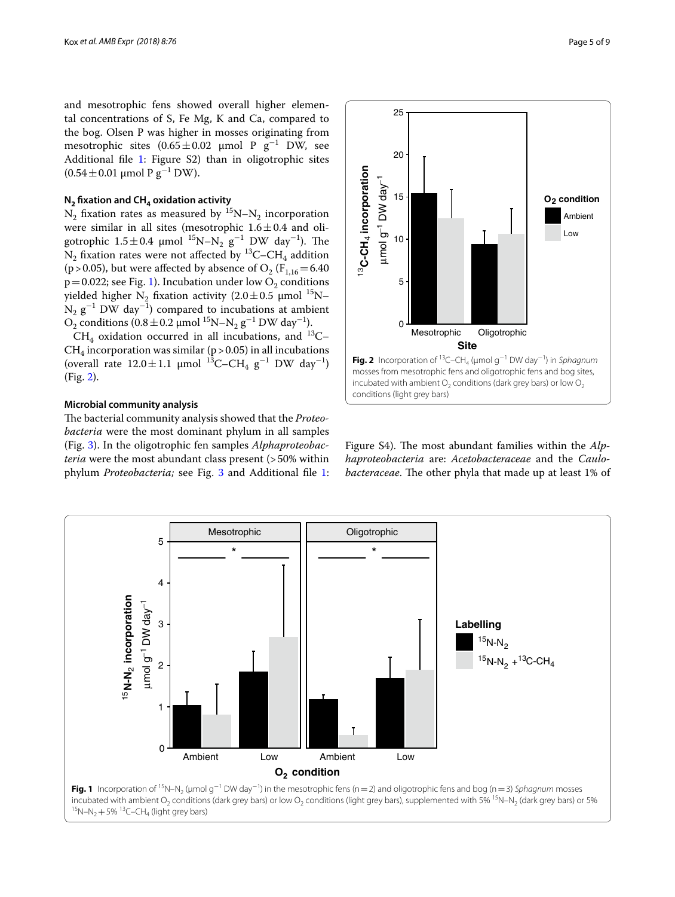and mesotrophic fens showed overall higher elemental concentrations of S, Fe Mg, K and Ca, compared to the bog. Olsen P was higher in mosses originating from mesotrophic sites  $(0.65 \pm 0.02 \mu \text{mol} \text{P} \text{g}^{-1} \text{DW}$ , see Additional fle [1:](#page-6-0) Figure S2) than in oligotrophic sites  $(0.54 \pm 0.01 \mu$ mol P g<sup>-1</sup> DW).

# **N2 fxation and CH4 oxidation activity**

 $N_2$  fixation rates as measured by  $15N-N_2$  incorporation were similar in all sites (mesotrophic  $1.6 \pm 0.4$  and oligotrophic  $1.5 \pm 0.4$  µmol  $^{15}$ N–N<sub>2</sub>  $g^{-1}$  DW day<sup>-1</sup>). The N<sub>2</sub> fixation rates were not affected by <sup>13</sup>C–CH<sub>4</sub> addition (p > 0.05), but were affected by absence of  $O_2$  (F<sub>1,16</sub> = 6.40)  $p=0.022$ ; see Fig. [1\)](#page-4-0). Incubation under low  $O<sub>2</sub>$  conditions yielded higher N<sub>2</sub> fixation activity (2.0 $\pm$ 0.5 µmol <sup>15</sup>N–  $N_2$   $g^{-1}$  DW day<sup>-1</sup>) compared to incubations at ambient  $O_2$  conditions (0.8 ± 0.2 μmol <sup>15</sup>N–N<sub>2</sub> g<sup>-1</sup> DW day<sup>-1</sup>).

 $CH<sub>4</sub>$  oxidation occurred in all incubations, and <sup>13</sup>C–  $CH<sub>4</sub>$  incorporation was similar (p > 0.05) in all incubations (overall rate  $12.0 \pm 1.1$  µmol <sup>13</sup>C–CH<sub>4</sub> g<sup>-1</sup> DW day<sup>-1</sup>) (Fig. [2\)](#page-4-1).

# **Microbial community analysis**

The bacterial community analysis showed that the *Proteobacteria* were the most dominant phylum in all samples (Fig. [3\)](#page-5-0). In the oligotrophic fen samples *Alphaproteobacteria* were the most abundant class present (>50% within phylum *Proteobacteria;* see Fig. [3](#page-5-0) and Additional fle [1](#page-6-0):



<span id="page-4-1"></span>Figure S4). The most abundant families within the *Alphaproteobacteria* are: *Acetobacteraceae* and the *Caulobacteraceae*. The other phyla that made up at least 1% of

<span id="page-4-0"></span>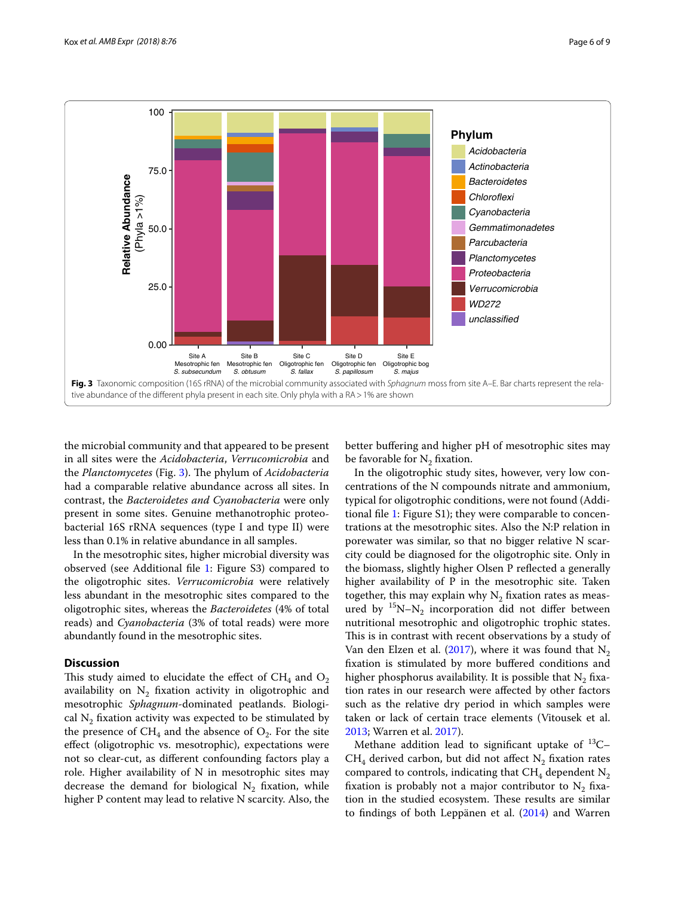

<span id="page-5-0"></span>the microbial community and that appeared to be present in all sites were the *Acidobacteria*, *Verrucomicrobia* and the *Planctomycetes* (Fig. [3\)](#page-5-0). The phylum of *Acidobacteria* had a comparable relative abundance across all sites. In contrast, the *Bacteroidetes and Cyanobacteria* were only present in some sites. Genuine methanotrophic proteobacterial 16S rRNA sequences (type I and type II) were less than 0.1% in relative abundance in all samples.

In the mesotrophic sites, higher microbial diversity was observed (see Additional fle [1](#page-6-0): Figure S3) compared to the oligotrophic sites. *Verrucomicrobia* were relatively less abundant in the mesotrophic sites compared to the oligotrophic sites, whereas the *Bacteroidetes* (4% of total reads) and *Cyanobacteria* (3% of total reads) were more abundantly found in the mesotrophic sites.

# **Discussion**

This study aimed to elucidate the effect of  $CH_4$  and  $O_2$ availability on  $N_2$  fixation activity in oligotrophic and mesotrophic *Sphagnum*-dominated peatlands. Biological  $N_2$  fixation activity was expected to be stimulated by the presence of  $CH_4$  and the absence of  $O_2$ . For the site efect (oligotrophic vs. mesotrophic), expectations were not so clear-cut, as diferent confounding factors play a role. Higher availability of N in mesotrophic sites may decrease the demand for biological  $N_2$  fixation, while higher P content may lead to relative N scarcity. Also, the

better bufering and higher pH of mesotrophic sites may be favorable for  $N<sub>2</sub>$  fixation.

In the oligotrophic study sites, however, very low concentrations of the N compounds nitrate and ammonium, typical for oligotrophic conditions, were not found (Additional fle [1:](#page-6-0) Figure S1); they were comparable to concentrations at the mesotrophic sites. Also the N:P relation in porewater was similar, so that no bigger relative N scarcity could be diagnosed for the oligotrophic site. Only in the biomass, slightly higher Olsen P refected a generally higher availability of P in the mesotrophic site. Taken together, this may explain why  $N_2$  fixation rates as measured by  $15N-N_2$  incorporation did not differ between nutritional mesotrophic and oligotrophic trophic states. This is in contrast with recent observations by a study of Van den Elzen et al. ([2017](#page-8-4)), where it was found that  $N_2$ fxation is stimulated by more bufered conditions and higher phosphorus availability. It is possible that  $N_2$  fixation rates in our research were afected by other factors such as the relative dry period in which samples were taken or lack of certain trace elements (Vitousek et al. [2013](#page-8-12); Warren et al. [2017\)](#page-8-6).

Methane addition lead to significant uptake of  $^{13}C CH_4$  derived carbon, but did not affect  $N_2$  fixation rates compared to controls, indicating that  $CH_4$  dependent  $N_2$ fixation is probably not a major contributor to  $N_2$  fixation in the studied ecosystem. These results are similar to fndings of both Leppänen et al. [\(2014](#page-7-17)) and Warren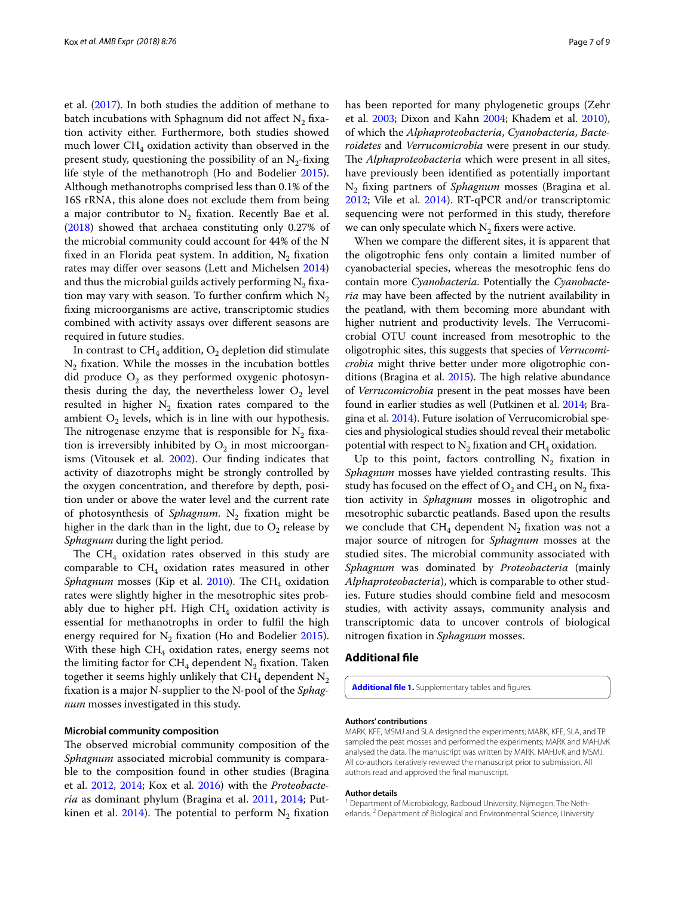et al. [\(2017](#page-8-6)). In both studies the addition of methane to batch incubations with Sphagnum did not affect  $N<sub>2</sub>$  fixation activity either. Furthermore, both studies showed much lower  $CH<sub>4</sub>$  oxidation activity than observed in the present study, questioning the possibility of an  $N<sub>2</sub>$ -fixing life style of the methanotroph (Ho and Bodelier [2015](#page-7-18)). Although methanotrophs comprised less than 0.1% of the 16S rRNA, this alone does not exclude them from being a major contributor to  $N<sub>2</sub>$  fixation. Recently Bae et al. ([2018\)](#page-7-26) showed that archaea constituting only 0.27% of the microbial community could account for 44% of the N fixed in an Florida peat system. In addition,  $N_2$  fixation rates may difer over seasons (Lett and Michelsen [2014](#page-7-27)) and thus the microbial guilds actively performing  $N<sub>2</sub>$  fixation may vary with season. To further confirm which  $N_2$ fxing microorganisms are active, transcriptomic studies combined with activity assays over diferent seasons are required in future studies.

In contrast to  $CH_4$  addition,  $O_2$  depletion did stimulate  $N<sub>2</sub>$  fixation. While the mosses in the incubation bottles did produce  $O_2$  as they performed oxygenic photosynthesis during the day, the nevertheless lower  $O<sub>2</sub>$  level resulted in higher  $N_2$  fixation rates compared to the ambient  $O_2$  levels, which is in line with our hypothesis. The nitrogenase enzyme that is responsible for  $N_2$  fixation is irreversibly inhibited by  $O_2$  in most microorganisms (Vitousek et al. [2002\)](#page-8-13). Our fnding indicates that activity of diazotrophs might be strongly controlled by the oxygen concentration, and therefore by depth, position under or above the water level and the current rate of photosynthesis of *Sphagnum*. N<sub>2</sub> fixation might be higher in the dark than in the light, due to  $O_2$  release by *Sphagnum* during the light period.

The  $CH_4$  oxidation rates observed in this study are comparable to  $CH<sub>4</sub>$  oxidation rates measured in other *Sphagnum* mosses (Kip et al. [2010](#page-7-15)). The CH<sub>4</sub> oxidation rates were slightly higher in the mesotrophic sites probably due to higher pH. High  $CH<sub>4</sub>$  oxidation activity is essential for methanotrophs in order to fulfl the high energy required for  $N<sub>2</sub>$  fixation (Ho and Bodelier [2015](#page-7-18)). With these high  $CH_4$  oxidation rates, energy seems not the limiting factor for  $CH_4$  dependent N<sub>2</sub> fixation. Taken together it seems highly unlikely that  $CH<sub>4</sub>$  dependent N<sub>2</sub> fxation is a major N-supplier to the N-pool of the *Sphagnum* mosses investigated in this study.

# **Microbial community composition**

The observed microbial community composition of the *Sphagnum* associated microbial community is comparable to the composition found in other studies (Bragina et al. [2012](#page-7-13), [2014;](#page-7-14) Kox et al. [2016\)](#page-7-9) with the *Proteobacteria* as dominant phylum (Bragina et al. [2011](#page-7-28), [2014;](#page-7-14) Put-kinen et al. [2014](#page-8-14)). The potential to perform  $N_2$  fixation has been reported for many phylogenetic groups (Zehr et al. [2003](#page-8-15); Dixon and Kahn [2004](#page-7-29); Khadem et al. [2010](#page-7-30)), of which the *Alphaproteobacteria*, *Cyanobacteria*, *Bacteroidetes* and *Verrucomicrobia* were present in our study. The *Alphaproteobacteria* which were present in all sites, have previously been identifed as potentially important N2 fxing partners of *Sphagnum* mosses (Bragina et al. [2012](#page-7-13); Vile et al. [2014](#page-8-2)). RT-qPCR and/or transcriptomic sequencing were not performed in this study, therefore we can only speculate which  $N_2$  fixers were active.

When we compare the diferent sites, it is apparent that the oligotrophic fens only contain a limited number of cyanobacterial species, whereas the mesotrophic fens do contain more *Cyanobacteria*. Potentially the *Cyanobacteria* may have been afected by the nutrient availability in the peatland, with them becoming more abundant with higher nutrient and productivity levels. The Verrucomicrobial OTU count increased from mesotrophic to the oligotrophic sites, this suggests that species of *Verrucomicrobia* might thrive better under more oligotrophic con-ditions (Bragina et al. [2015\)](#page-7-31). The high relative abundance of *Verrucomicrobia* present in the peat mosses have been found in earlier studies as well (Putkinen et al. [2014](#page-8-14); Bragina et al. [2014\)](#page-7-14). Future isolation of Verrucomicrobial species and physiological studies should reveal their metabolic potential with respect to  $N_2$  fixation and CH<sub>4</sub> oxidation.

Up to this point, factors controlling  $N_2$  fixation in *Sphagnum* mosses have yielded contrasting results. This study has focused on the effect of  $O_2$  and  $CH_4$  on  $N_2$  fixation activity in *Sphagnum* mosses in oligotrophic and mesotrophic subarctic peatlands. Based upon the results we conclude that  $CH_4$  dependent N<sub>2</sub> fixation was not a major source of nitrogen for *Sphagnum* mosses at the studied sites. The microbial community associated with *Sphagnum* was dominated by *Proteobacteria* (mainly *Alphaproteobacteria*), which is comparable to other studies. Future studies should combine feld and mesocosm studies, with activity assays, community analysis and transcriptomic data to uncover controls of biological nitrogen fxation in *Sphagnum* mosses.

# **Additional fle**

<span id="page-6-0"></span>Additional file 1. Supplementary tables and figures.

### **Authors' contributions**

MARK, KFE, MSMJ and SLA designed the experiments; MARK, KFE, SLA, and TP sampled the peat mosses and performed the experiments; MARK and MAHJvK analysed the data. The manuscript was written by MARK, MAHJvK and MSMJ. All co-authors iteratively reviewed the manuscript prior to submission. All authors read and approved the fnal manuscript.

#### **Author details**

<sup>1</sup> Department of Microbiology, Radboud University, Nijmegen, The Netherlands.<sup>2</sup> Department of Biological and Environmental Science, University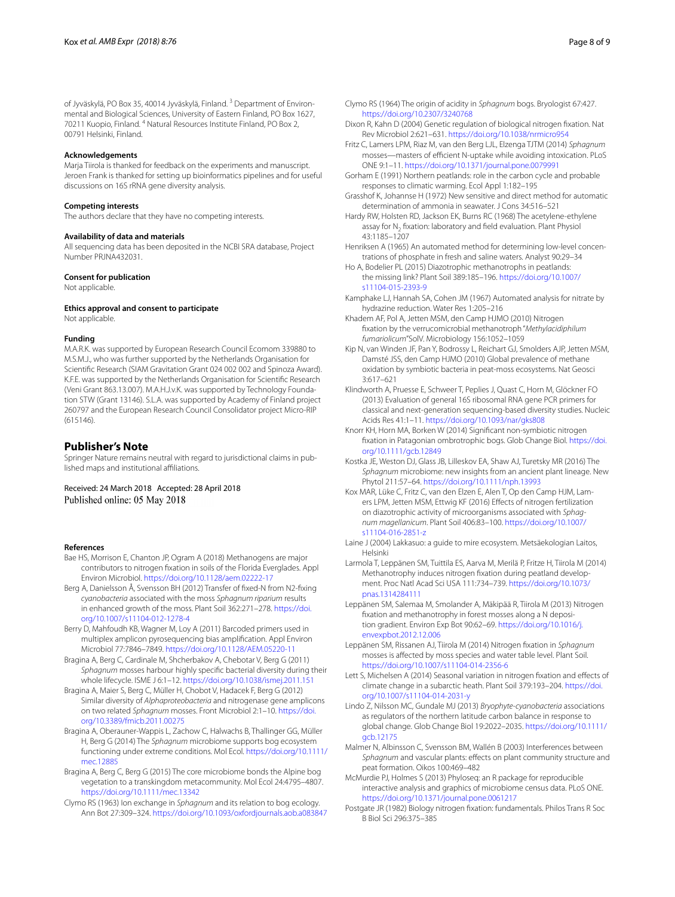of Jyväskylä, PO Box 35, 40014 Jyväskylä, Finland.<sup>3</sup> Department of Environmental and Biological Sciences, University of Eastern Finland, PO Box 1627, 70211 Kuopio, Finland. 4 Natural Resources Institute Finland, PO Box 2, 00791 Helsinki, Finland.

# **Acknowledgements**

Marja Tiirola is thanked for feedback on the experiments and manuscript. Jeroen Frank is thanked for setting up bioinformatics pipelines and for useful discussions on 16S rRNA gene diversity analysis.

#### **Competing interests**

The authors declare that they have no competing interests.

#### **Availability of data and materials**

All sequencing data has been deposited in the NCBI SRA database, Project Number PRJNA432031.

# **Consent for publication**

Not applicable.

# **Ethics approval and consent to participate**

Not applicable.

#### **Funding**

M.A.R.K. was supported by European Research Council Ecomom 339880 to M.S.M.J., who was further supported by the Netherlands Organisation for Scientifc Research (SIAM Gravitation Grant 024 002 002 and Spinoza Award). K.F.E. was supported by the Netherlands Organisation for Scientifc Research (Veni Grant 863.13.007). M.A.H.J.v.K. was supported by Technology Foundation STW (Grant 13146). S.L.A. was supported by Academy of Finland project 260797 and the European Research Council Consolidator project Micro-RIP (615146).

# **Publisher's Note**

Springer Nature remains neutral with regard to jurisdictional claims in published maps and institutional afliations.

Received: 24 March 2018 Accepted: 28 April 2018 Published online: 05 May 2018

#### **References**

- <span id="page-7-26"></span>Bae HS, Morrison E, Chanton JP, Ogram A (2018) Methanogens are major contributors to nitrogen fxation in soils of the Florida Everglades. Appl Environ Microbiol.<https://doi.org/10.1128/aem.02222-17>
- <span id="page-7-11"></span>Berg A, Danielsson Å, Svensson BH (2012) Transfer of fxed-N from N2-fxing *cyanobacteria* associated with the moss *Sphagnum riparium* results in enhanced growth of the moss. Plant Soil 362:271–278. [https://doi.](https://doi.org/10.1007/s11104-012-1278-4) [org/10.1007/s11104-012-1278-4](https://doi.org/10.1007/s11104-012-1278-4)
- <span id="page-7-23"></span>Berry D, Mahfoudh KB, Wagner M, Loy A (2011) Barcoded primers used in multiplex amplicon pyrosequencing bias amplifcation. Appl Environ Microbiol 77:7846–7849.<https://doi.org/10.1128/AEM.05220-11>
- <span id="page-7-28"></span>Bragina A, Berg C, Cardinale M, Shcherbakov A, Chebotar V, Berg G (2011) *Sphagnum* mosses harbour highly specifc bacterial diversity during their whole lifecycle. ISME J 6:1–12. <https://doi.org/10.1038/ismej.2011.151>
- <span id="page-7-13"></span>Bragina A, Maier S, Berg C, Müller H, Chobot V, Hadacek F, Berg G (2012) Similar diversity of *Alphaproteobacteria* and nitrogenase gene amplicons on two related *Sphagnum* mosses. Front Microbiol 2:1–10. [https://doi.](https://doi.org/10.3389/fmicb.2011.00275) [org/10.3389/fmicb.2011.00275](https://doi.org/10.3389/fmicb.2011.00275)
- <span id="page-7-14"></span>Bragina A, Oberauner-Wappis L, Zachow C, Halwachs B, Thallinger GG, Müller H, Berg G (2014) The *Sphagnum* microbiome supports bog ecosystem functioning under extreme conditions. Mol Ecol. [https://doi.org/10.1111/](https://doi.org/10.1111/mec.12885) [mec.12885](https://doi.org/10.1111/mec.12885)
- <span id="page-7-31"></span>Bragina A, Berg C, Berg G (2015) The core microbiome bonds the Alpine bog vegetation to a transkingdom metacommunity. Mol Ecol 24:4795–4807. <https://doi.org/10.1111/mec.13342>
- <span id="page-7-2"></span>Clymo RS (1963) Ion exchange in *Sphagnum* and its relation to bog ecology. Ann Bot 27:309–324. <https://doi.org/10.1093/oxfordjournals.aob.a083847>
- <span id="page-7-3"></span>Clymo RS (1964) The origin of acidity in *Sphagnum* bogs. Bryologist 67:427. <https://doi.org/10.2307/3240768>
- <span id="page-7-29"></span>Dixon R, Kahn D (2004) Genetic regulation of biological nitrogen fxation. Nat Rev Microbiol 2:621–631. <https://doi.org/10.1038/nrmicro954>
- <span id="page-7-5"></span>Fritz C, Lamers LPM, Riaz M, van den Berg LJL, Elzenga TJTM (2014) *Sphagnum* mosses-masters of efficient N-uptake while avoiding intoxication. PLoS ONE 9:1–11.<https://doi.org/10.1371/journal.pone.0079991>
- <span id="page-7-0"></span>Gorham E (1991) Northern peatlands: role in the carbon cycle and probable responses to climatic warming. Ecol Appl 1:182–195
- <span id="page-7-22"></span>Grasshof K, Johannse H (1972) New sensitive and direct method for automatic determination of ammonia in seawater. J Cons 34:516–521
- <span id="page-7-10"></span>Hardy RW, Holsten RD, Jackson EK, Burns RC (1968) The acetylene-ethylene assay for  $N<sub>2</sub>$  fixation: laboratory and field evaluation. Plant Physiol 43:1185–1207
- <span id="page-7-20"></span>Henriksen A (1965) An automated method for determining low-level concentrations of phosphate in fresh and saline waters. Analyst 90:29–34
- <span id="page-7-18"></span>Ho A, Bodelier PL (2015) Diazotrophic methanotrophs in peatlands: the missing link? Plant Soil 389:185–196. [https://doi.org/10.1007/](https://doi.org/10.1007/s11104-015-2393-9) [s11104-015-2393-9](https://doi.org/10.1007/s11104-015-2393-9)
- <span id="page-7-21"></span>Kamphake LJ, Hannah SA, Cohen JM (1967) Automated analysis for nitrate by hydrazine reduction. Water Res 1:205–216
- <span id="page-7-30"></span>Khadem AF, Pol A, Jetten MSM, den Camp HJMO (2010) Nitrogen fxation by the verrucomicrobial methanotroph "*Methylacidiphilum fumariolicum*"SolV. Microbiology 156:1052–1059
- <span id="page-7-15"></span>Kip N, van Winden JF, Pan Y, Bodrossy L, Reichart GJ, Smolders AJP, Jetten MSM, Damsté JSS, den Camp HJMO (2010) Global prevalence of methane oxidation by symbiotic bacteria in peat-moss ecosystems. Nat Geosci 3:617–621
- <span id="page-7-24"></span>Klindworth A, Pruesse E, Schweer T, Peplies J, Quast C, Horn M, Glöckner FO (2013) Evaluation of general 16S ribosomal RNA gene PCR primers for classical and next-generation sequencing-based diversity studies. Nucleic Acids Res 41:1–11. <https://doi.org/10.1093/nar/gks808>
- <span id="page-7-8"></span>Knorr KH, Horn MA, Borken W (2014) Signifcant non-symbiotic nitrogen fxation in Patagonian ombrotrophic bogs. Glob Change Biol. [https://doi.](https://doi.org/10.1111/gcb.12849) [org/10.1111/gcb.12849](https://doi.org/10.1111/gcb.12849)
- <span id="page-7-16"></span>Kostka JE, Weston DJ, Glass JB, Lilleskov EA, Shaw AJ, Turetsky MR (2016) The *Sphagnum* microbiome: new insights from an ancient plant lineage. New Phytol 211:57–64. <https://doi.org/10.1111/nph.13993>
- <span id="page-7-9"></span>Kox MAR, Lüke C, Fritz C, van den Elzen E, Alen T, Op den Camp HJM, Lamers LPM, Jetten MSM, Ettwig KF (2016) Efects of nitrogen fertilization on diazotrophic activity of microorganisms associated with *Sphagnum magellanicum*. Plant Soil 406:83–100. [https://doi.org/10.1007/](https://doi.org/10.1007/s11104-016-2851-z) [s11104-016-2851-z](https://doi.org/10.1007/s11104-016-2851-z)
- <span id="page-7-19"></span>Laine J (2004) Lakkasuo: a guide to mire ecosystem. Metsäekologian Laitos, Helsinki
- <span id="page-7-4"></span>Larmola T, Leppänen SM, Tuittila ES, Aarva M, Merilä P, Fritze H, Tiirola M (2014) Methanotrophy induces nitrogen fxation during peatland development. Proc Natl Acad Sci USA 111:734–739. [https://doi.org/10.1073/](https://doi.org/10.1073/pnas.1314284111) [pnas.1314284111](https://doi.org/10.1073/pnas.1314284111)
- <span id="page-7-7"></span>Leppänen SM, Salemaa M, Smolander A, Mäkipää R, Tiirola M (2013) Nitrogen fxation and methanotrophy in forest mosses along a N deposition gradient. Environ Exp Bot 90:62–69. [https://doi.org/10.1016/j.](https://doi.org/10.1016/j.envexpbot.2012.12.006) [envexpbot.2012.12.006](https://doi.org/10.1016/j.envexpbot.2012.12.006)
- <span id="page-7-17"></span>Leppänen SM, Rissanen AJ, Tiirola M (2014) Nitrogen fxation in *Sphagnum* mosses is afected by moss species and water table level. Plant Soil. <https://doi.org/10.1007/s11104-014-2356-6>
- <span id="page-7-27"></span>Lett S, Michelsen A (2014) Seasonal variation in nitrogen fxation and efects of climate change in a subarctic heath. Plant Soil 379:193–204. [https://doi.](https://doi.org/10.1007/s11104-014-2031-y) [org/10.1007/s11104-014-2031-y](https://doi.org/10.1007/s11104-014-2031-y)
- <span id="page-7-12"></span>Lindo Z, Nilsson MC, Gundale MJ (2013) *Bryophyte*-*cyanobacteria* associations as regulators of the northern latitude carbon balance in response to global change. Glob Change Biol 19:2022–2035. [https://doi.org/10.1111/](https://doi.org/10.1111/gcb.12175) [gcb.12175](https://doi.org/10.1111/gcb.12175)
- <span id="page-7-1"></span>Malmer N, Albinsson C, Svensson BM, Wallén B (2003) Interferences between Sphagnum and vascular plants: effects on plant community structure and peat formation. Oikos 100:469–482
- <span id="page-7-25"></span>McMurdie PJ, Holmes S (2013) Phyloseq: an R package for reproducible interactive analysis and graphics of microbiome census data. PLoS ONE. <https://doi.org/10.1371/journal.pone.0061217>
- <span id="page-7-6"></span>Postgate JR (1982) Biology nitrogen fxation: fundamentals. Philos Trans R Soc B Biol Sci 296:375–385